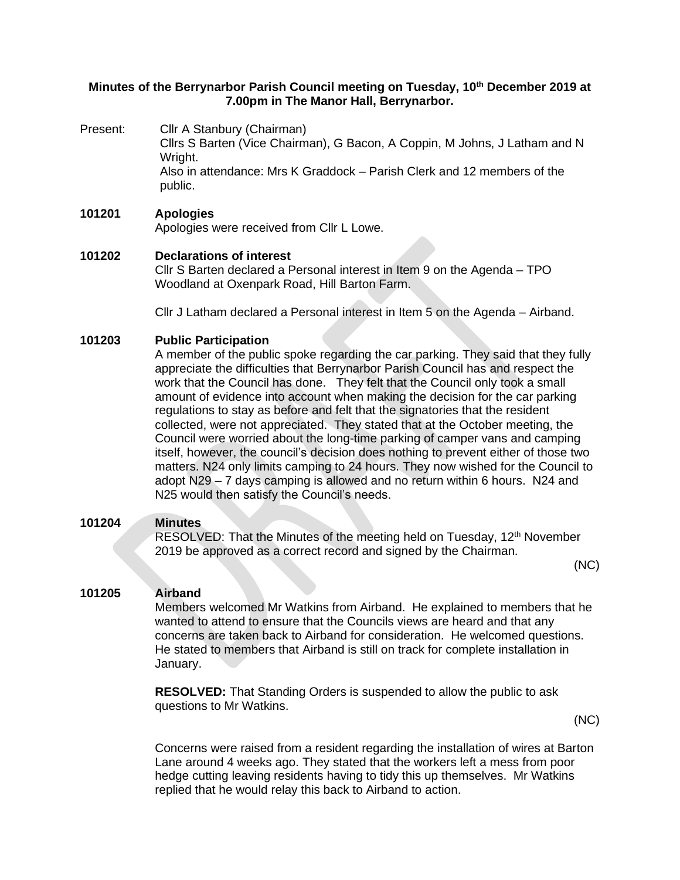# **Minutes of the Berrynarbor Parish Council meeting on Tuesday, 10th December 2019 at 7.00pm in The Manor Hall, Berrynarbor.**

Present: Cllr A Stanbury (Chairman)

Cllrs S Barten (Vice Chairman), G Bacon, A Coppin, M Johns, J Latham and N Wright. Also in attendance: Mrs K Graddock – Parish Clerk and 12 members of the public.

#### **101201 Apologies** Apologies were received from Cllr L Lowe.

# **101202 Declarations of interest**

Cllr S Barten declared a Personal interest in Item 9 on the Agenda – TPO Woodland at Oxenpark Road, Hill Barton Farm.

Cllr J Latham declared a Personal interest in Item 5 on the Agenda – Airband.

# **101203 Public Participation**

A member of the public spoke regarding the car parking. They said that they fully appreciate the difficulties that Berrynarbor Parish Council has and respect the work that the Council has done. They felt that the Council only took a small amount of evidence into account when making the decision for the car parking regulations to stay as before and felt that the signatories that the resident collected, were not appreciated. They stated that at the October meeting, the Council were worried about the long-time parking of camper vans and camping itself, however, the council's decision does nothing to prevent either of those two matters. N24 only limits camping to 24 hours. They now wished for the Council to adopt N29 – 7 days camping is allowed and no return within 6 hours. N24 and N25 would then satisfy the Council's needs.

#### **101204 Minutes**

RESOLVED: That the Minutes of the meeting held on Tuesday, 12<sup>th</sup> November 2019 be approved as a correct record and signed by the Chairman.

(NC)

#### **101205 Airband**

Members welcomed Mr Watkins from Airband. He explained to members that he wanted to attend to ensure that the Councils views are heard and that any concerns are taken back to Airband for consideration. He welcomed questions. He stated to members that Airband is still on track for complete installation in January.

**RESOLVED:** That Standing Orders is suspended to allow the public to ask questions to Mr Watkins.

(NC)

Concerns were raised from a resident regarding the installation of wires at Barton Lane around 4 weeks ago. They stated that the workers left a mess from poor hedge cutting leaving residents having to tidy this up themselves. Mr Watkins replied that he would relay this back to Airband to action.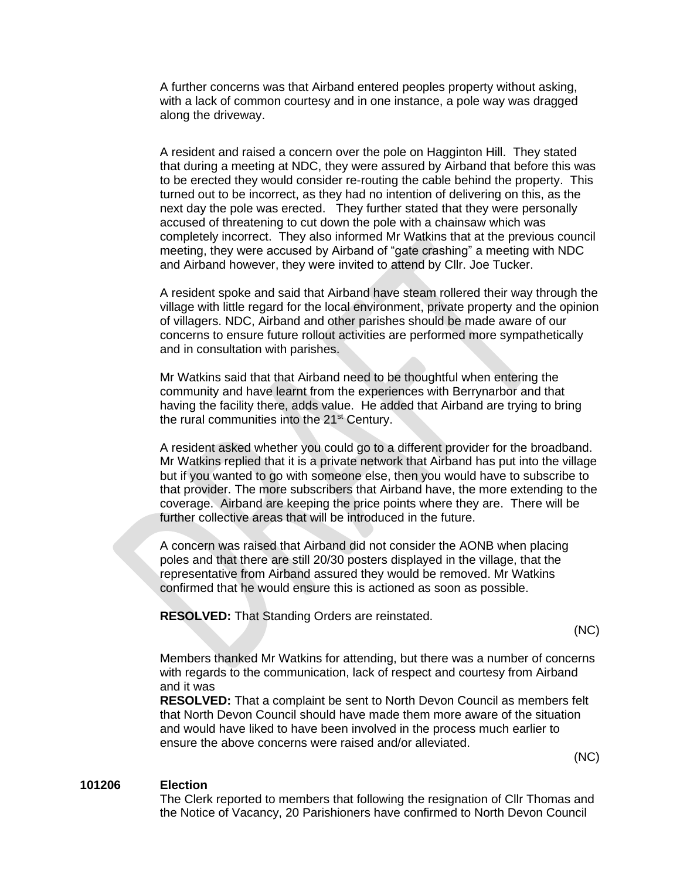A further concerns was that Airband entered peoples property without asking, with a lack of common courtesy and in one instance, a pole way was dragged along the driveway.

A resident and raised a concern over the pole on Hagginton Hill. They stated that during a meeting at NDC, they were assured by Airband that before this was to be erected they would consider re-routing the cable behind the property. This turned out to be incorrect, as they had no intention of delivering on this, as the next day the pole was erected. They further stated that they were personally accused of threatening to cut down the pole with a chainsaw which was completely incorrect. They also informed Mr Watkins that at the previous council meeting, they were accused by Airband of "gate crashing" a meeting with NDC and Airband however, they were invited to attend by Cllr. Joe Tucker.

A resident spoke and said that Airband have steam rollered their way through the village with little regard for the local environment, private property and the opinion of villagers. NDC, Airband and other parishes should be made aware of our concerns to ensure future rollout activities are performed more sympathetically and in consultation with parishes.

Mr Watkins said that that Airband need to be thoughtful when entering the community and have learnt from the experiences with Berrynarbor and that having the facility there, adds value. He added that Airband are trying to bring the rural communities into the 21<sup>st</sup> Century.

A resident asked whether you could go to a different provider for the broadband. Mr Watkins replied that it is a private network that Airband has put into the village but if you wanted to go with someone else, then you would have to subscribe to that provider. The more subscribers that Airband have, the more extending to the coverage. Airband are keeping the price points where they are. There will be further collective areas that will be introduced in the future.

A concern was raised that Airband did not consider the AONB when placing poles and that there are still 20/30 posters displayed in the village, that the representative from Airband assured they would be removed. Mr Watkins confirmed that he would ensure this is actioned as soon as possible.

**RESOLVED:** That Standing Orders are reinstated.

(NC)

Members thanked Mr Watkins for attending, but there was a number of concerns with regards to the communication, lack of respect and courtesy from Airband and it was

**RESOLVED:** That a complaint be sent to North Devon Council as members felt that North Devon Council should have made them more aware of the situation and would have liked to have been involved in the process much earlier to ensure the above concerns were raised and/or alleviated.

(NC)

## **101206 Election**

The Clerk reported to members that following the resignation of Cllr Thomas and the Notice of Vacancy, 20 Parishioners have confirmed to North Devon Council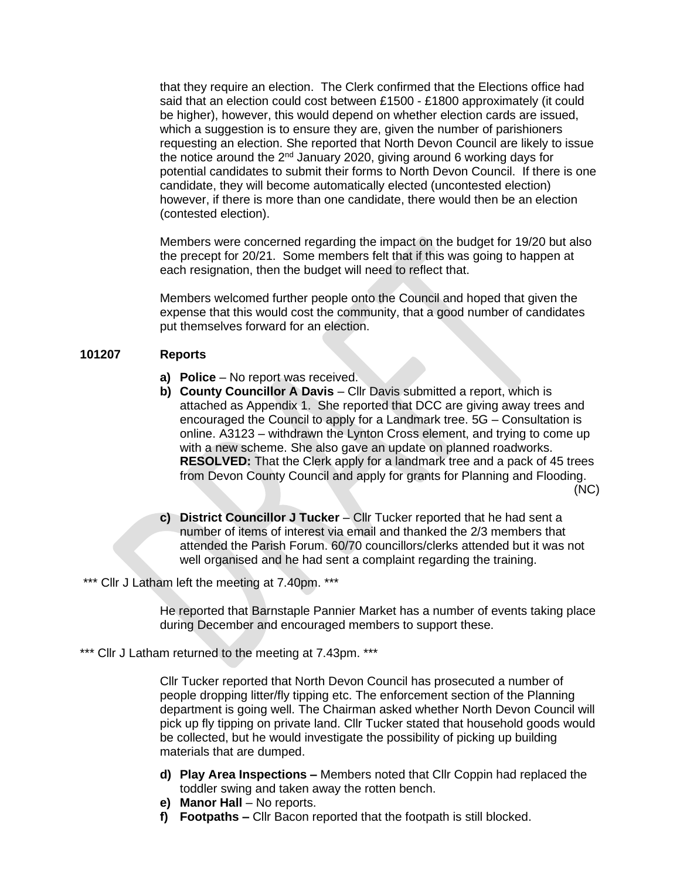that they require an election. The Clerk confirmed that the Elections office had said that an election could cost between £1500 - £1800 approximately (it could be higher), however, this would depend on whether election cards are issued, which a suggestion is to ensure they are, given the number of parishioners requesting an election. She reported that North Devon Council are likely to issue the notice around the 2nd January 2020, giving around 6 working days for potential candidates to submit their forms to North Devon Council. If there is one candidate, they will become automatically elected (uncontested election) however, if there is more than one candidate, there would then be an election (contested election).

Members were concerned regarding the impact on the budget for 19/20 but also the precept for 20/21. Some members felt that if this was going to happen at each resignation, then the budget will need to reflect that.

Members welcomed further people onto the Council and hoped that given the expense that this would cost the community, that a good number of candidates put themselves forward for an election.

#### **101207 Reports**

- **a) Police**  No report was received.
- **b) County Councillor A Davis** Cllr Davis submitted a report, which is attached as Appendix 1. She reported that DCC are giving away trees and encouraged the Council to apply for a Landmark tree. 5G – Consultation is online. A3123 – withdrawn the Lynton Cross element, and trying to come up with a new scheme. She also gave an update on planned roadworks. **RESOLVED:** That the Clerk apply for a landmark tree and a pack of 45 trees from Devon County Council and apply for grants for Planning and Flooding. (NC)
- **c) District Councillor J Tucker** Cllr Tucker reported that he had sent a number of items of interest via email and thanked the 2/3 members that attended the Parish Forum. 60/70 councillors/clerks attended but it was not well organised and he had sent a complaint regarding the training.

\*\*\* Cllr J Latham left the meeting at 7.40pm. \*\*\*

He reported that Barnstaple Pannier Market has a number of events taking place during December and encouraged members to support these.

\*\*\* Cllr J Latham returned to the meeting at 7.43pm. \*\*\*

Cllr Tucker reported that North Devon Council has prosecuted a number of people dropping litter/fly tipping etc. The enforcement section of the Planning department is going well. The Chairman asked whether North Devon Council will pick up fly tipping on private land. Cllr Tucker stated that household goods would be collected, but he would investigate the possibility of picking up building materials that are dumped.

- **d) Play Area Inspections –** Members noted that Cllr Coppin had replaced the toddler swing and taken away the rotten bench.
- **e) Manor Hall** No reports.
- **f) Footpaths –** Cllr Bacon reported that the footpath is still blocked.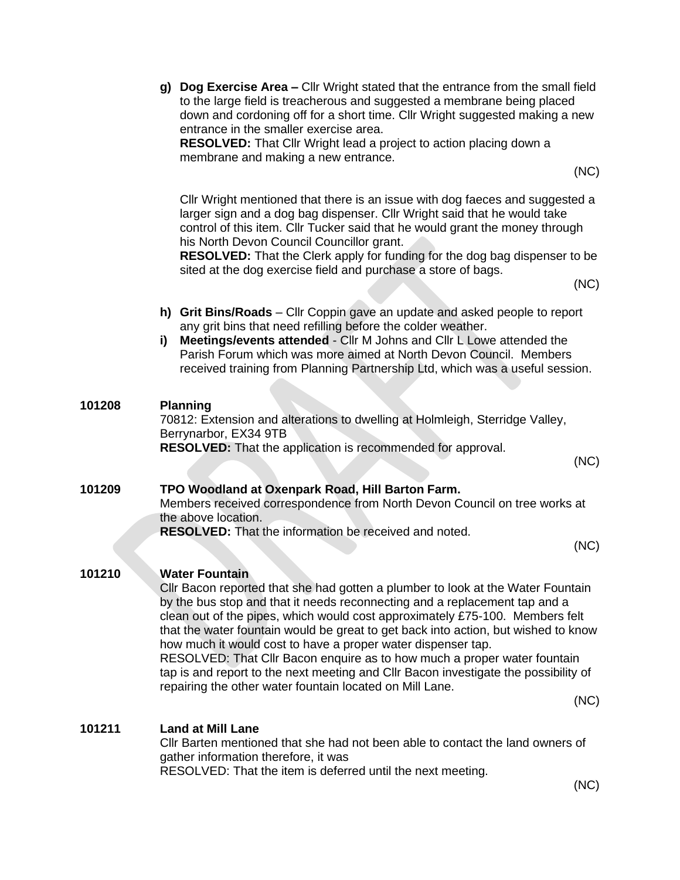|        | g) Dog Exercise Area - Cllr Wright stated that the entrance from the small field<br>to the large field is treacherous and suggested a membrane being placed<br>down and cordoning off for a short time. Cllr Wright suggested making a new<br>entrance in the smaller exercise area.<br><b>RESOLVED:</b> That Cllr Wright lead a project to action placing down a<br>membrane and making a new entrance.<br>(NC)                                                                                                                                                                                                                                                    |  |
|--------|---------------------------------------------------------------------------------------------------------------------------------------------------------------------------------------------------------------------------------------------------------------------------------------------------------------------------------------------------------------------------------------------------------------------------------------------------------------------------------------------------------------------------------------------------------------------------------------------------------------------------------------------------------------------|--|
|        | Cllr Wright mentioned that there is an issue with dog faeces and suggested a<br>larger sign and a dog bag dispenser. Cllr Wright said that he would take<br>control of this item. Cllr Tucker said that he would grant the money through<br>his North Devon Council Councillor grant.<br>RESOLVED: That the Clerk apply for funding for the dog bag dispenser to be<br>sited at the dog exercise field and purchase a store of bags.<br>(NC)                                                                                                                                                                                                                        |  |
|        | h) Grit Bins/Roads - Cllr Coppin gave an update and asked people to report<br>any grit bins that need refilling before the colder weather.<br>Meetings/events attended - Cllr M Johns and Cllr L Lowe attended the<br>i)<br>Parish Forum which was more aimed at North Devon Council. Members<br>received training from Planning Partnership Ltd, which was a useful session.                                                                                                                                                                                                                                                                                       |  |
| 101208 | <b>Planning</b><br>70812: Extension and alterations to dwelling at Holmleigh, Sterridge Valley,<br>Berrynarbor, EX34 9TB<br><b>RESOLVED:</b> That the application is recommended for approval.<br>(NC)                                                                                                                                                                                                                                                                                                                                                                                                                                                              |  |
| 101209 | TPO Woodland at Oxenpark Road, Hill Barton Farm.<br>Members received correspondence from North Devon Council on tree works at<br>the above location.<br><b>RESOLVED:</b> That the information be received and noted.<br>(NC)                                                                                                                                                                                                                                                                                                                                                                                                                                        |  |
| 101210 | <b>Water Fountain</b><br>Cllr Bacon reported that she had gotten a plumber to look at the Water Fountain<br>by the bus stop and that it needs reconnecting and a replacement tap and a<br>clean out of the pipes, which would cost approximately £75-100. Members felt<br>that the water fountain would be great to get back into action, but wished to know<br>how much it would cost to have a proper water dispenser tap.<br>RESOLVED: That Cllr Bacon enquire as to how much a proper water fountain<br>tap is and report to the next meeting and CIIr Bacon investigate the possibility of<br>repairing the other water fountain located on Mill Lane.<br>(NC) |  |
| 101211 | <b>Land at Mill Lane</b><br>CIIr Barten mentioned that she had not been able to contact the land owners of<br>gather information therefore, it was<br>RESOLVED: That the item is deferred until the next meeting.<br>(NC)                                                                                                                                                                                                                                                                                                                                                                                                                                           |  |
|        |                                                                                                                                                                                                                                                                                                                                                                                                                                                                                                                                                                                                                                                                     |  |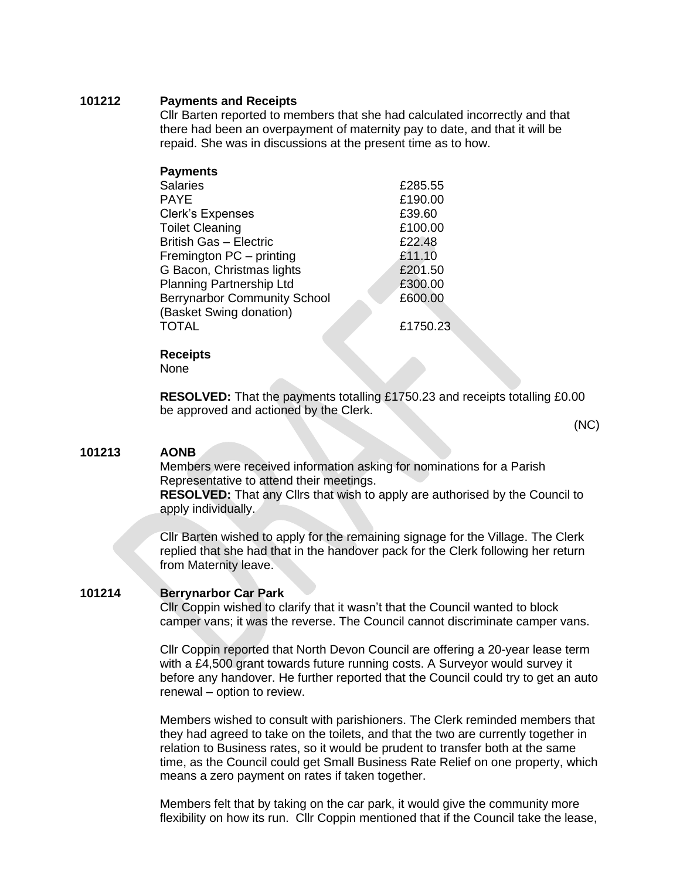## **101212 Payments and Receipts**

Cllr Barten reported to members that she had calculated incorrectly and that there had been an overpayment of maternity pay to date, and that it will be repaid. She was in discussions at the present time as to how.

| <b>Payments</b>                     |          |
|-------------------------------------|----------|
| <b>Salaries</b>                     | £285.55  |
| <b>PAYE</b>                         | £190.00  |
| <b>Clerk's Expenses</b>             | £39.60   |
| <b>Toilet Cleaning</b>              | £100.00  |
| <b>British Gas - Electric</b>       | £22.48   |
| Fremington PC - printing            | £11.10   |
| G Bacon, Christmas lights           | £201.50  |
| <b>Planning Partnership Ltd</b>     | £300.00  |
| <b>Berrynarbor Community School</b> | £600.00  |
| (Basket Swing donation)             |          |
| <b>TOTAL</b>                        | £1750.23 |
|                                     |          |

**Receipts**

None

**RESOLVED:** That the payments totalling £1750.23 and receipts totalling £0.00 be approved and actioned by the Clerk.

(NC)

#### **101213 AONB**

Members were received information asking for nominations for a Parish Representative to attend their meetings.

**RESOLVED:** That any Cllrs that wish to apply are authorised by the Council to apply individually.

Cllr Barten wished to apply for the remaining signage for the Village. The Clerk replied that she had that in the handover pack for the Clerk following her return from Maternity leave.

# **101214 Berrynarbor Car Park**

Cllr Coppin wished to clarify that it wasn't that the Council wanted to block camper vans; it was the reverse. The Council cannot discriminate camper vans.

Cllr Coppin reported that North Devon Council are offering a 20-year lease term with a £4,500 grant towards future running costs. A Surveyor would survey it before any handover. He further reported that the Council could try to get an auto renewal – option to review.

Members wished to consult with parishioners. The Clerk reminded members that they had agreed to take on the toilets, and that the two are currently together in relation to Business rates, so it would be prudent to transfer both at the same time, as the Council could get Small Business Rate Relief on one property, which means a zero payment on rates if taken together.

Members felt that by taking on the car park, it would give the community more flexibility on how its run. Cllr Coppin mentioned that if the Council take the lease,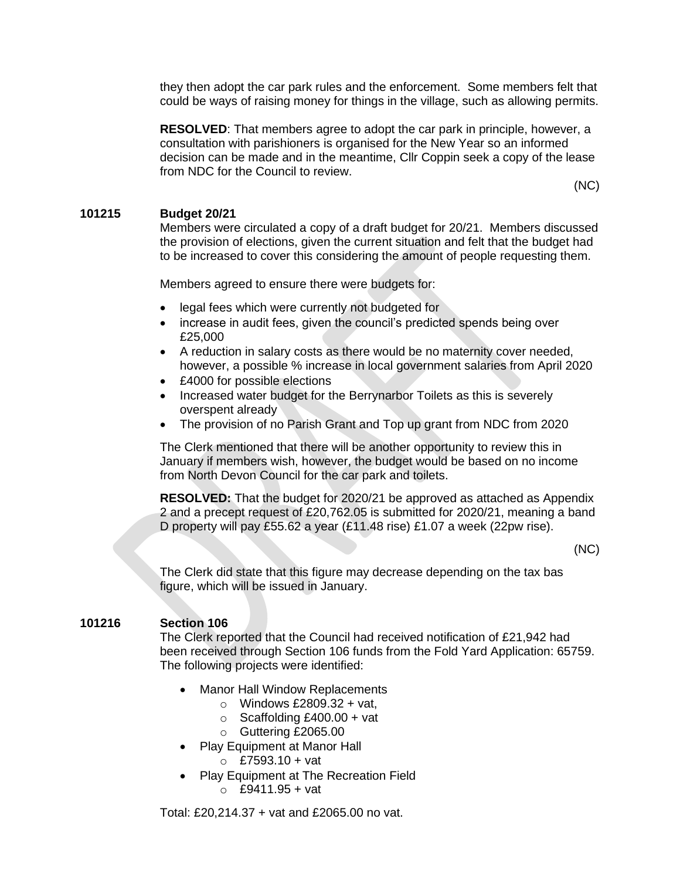they then adopt the car park rules and the enforcement. Some members felt that could be ways of raising money for things in the village, such as allowing permits.

**RESOLVED**: That members agree to adopt the car park in principle, however, a consultation with parishioners is organised for the New Year so an informed decision can be made and in the meantime, Cllr Coppin seek a copy of the lease from NDC for the Council to review.

(NC)

## **101215 Budget 20/21**

Members were circulated a copy of a draft budget for 20/21. Members discussed the provision of elections, given the current situation and felt that the budget had to be increased to cover this considering the amount of people requesting them.

Members agreed to ensure there were budgets for:

- legal fees which were currently not budgeted for
- increase in audit fees, given the council's predicted spends being over £25,000
- A reduction in salary costs as there would be no maternity cover needed, however, a possible % increase in local government salaries from April 2020
- £4000 for possible elections
- Increased water budget for the Berrynarbor Toilets as this is severely overspent already
- The provision of no Parish Grant and Top up grant from NDC from 2020

The Clerk mentioned that there will be another opportunity to review this in January if members wish, however, the budget would be based on no income from North Devon Council for the car park and toilets.

**RESOLVED:** That the budget for 2020/21 be approved as attached as Appendix 2 and a precept request of £20,762.05 is submitted for 2020/21, meaning a band D property will pay £55.62 a year (£11.48 rise) £1.07 a week (22pw rise).

(NC)

The Clerk did state that this figure may decrease depending on the tax bas figure, which will be issued in January.

# **101216 Section 106**

The Clerk reported that the Council had received notification of £21,942 had been received through Section 106 funds from the Fold Yard Application: 65759. The following projects were identified:

- **Manor Hall Window Replacements** 
	- $\circ$  Windows £2809.32 + vat.
	- $\circ$  Scaffolding £400.00 + vat
	- o Guttering £2065.00
- Play Equipment at Manor Hall
	- $\circ$  £7593.10 + vat
- Play Equipment at The Recreation Field  $O$  £9411.95 + vat

Total: £20,214.37 + vat and £2065.00 no vat.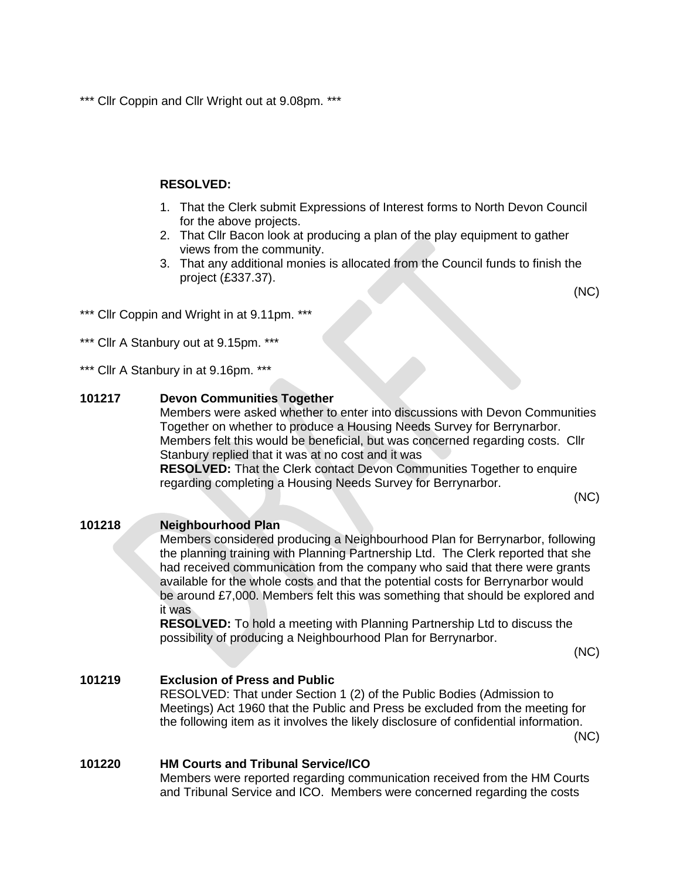\*\*\* Cllr Coppin and Cllr Wright out at 9.08pm. \*\*\*

# **RESOLVED:**

- 1. That the Clerk submit Expressions of Interest forms to North Devon Council for the above projects.
- 2. That Cllr Bacon look at producing a plan of the play equipment to gather views from the community.
- 3. That any additional monies is allocated from the Council funds to finish the project (£337.37).

(NC)

- \*\*\* Cllr Coppin and Wright in at 9.11pm. \*\*\*
- \*\*\* Cllr A Stanbury out at 9.15pm. \*\*\*

\*\*\* Cllr A Stanbury in at 9.16pm. \*\*\*

# **101217 Devon Communities Together**

Members were asked whether to enter into discussions with Devon Communities Together on whether to produce a Housing Needs Survey for Berrynarbor. Members felt this would be beneficial, but was concerned regarding costs. Cllr Stanbury replied that it was at no cost and it was

**RESOLVED:** That the Clerk contact Devon Communities Together to enquire regarding completing a Housing Needs Survey for Berrynarbor.

(NC)

#### **101218 Neighbourhood Plan**

Members considered producing a Neighbourhood Plan for Berrynarbor, following the planning training with Planning Partnership Ltd. The Clerk reported that she had received communication from the company who said that there were grants available for the whole costs and that the potential costs for Berrynarbor would be around £7,000. Members felt this was something that should be explored and it was

**RESOLVED:** To hold a meeting with Planning Partnership Ltd to discuss the possibility of producing a Neighbourhood Plan for Berrynarbor.

(NC)

(NC)

# **101219 Exclusion of Press and Public** RESOLVED: That under Section 1 (2) of the Public Bodies (Admission to Meetings) Act 1960 that the Public and Press be excluded from the meeting for the following item as it involves the likely disclosure of confidential information.

# **101220 HM Courts and Tribunal Service/ICO**

Members were reported regarding communication received from the HM Courts and Tribunal Service and ICO. Members were concerned regarding the costs